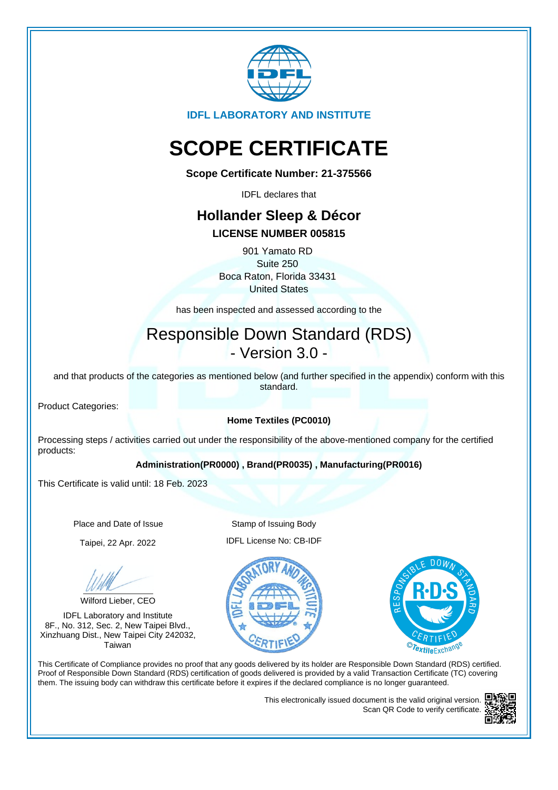

**IDFL LABORATORY AND INSTITUTE**

# **SCOPE CERTIFICATE**

**Scope Certificate Number: 21-375566**

IDFL declares that

# **Hollander Sleep & Décor**

## **LICENSE NUMBER 005815**

901 Yamato RD Suite 250 Boca Raton, Florida 33431 United States

has been inspected and assessed according to the

# Responsible Down Standard (RDS) - Version 3.0 -

and that products of the categories as mentioned below (and further specified in the appendix) conform with this standard.

Product Categories:

## **Home Textiles (PC0010)**

Processing steps / activities carried out under the responsibility of the above-mentioned company for the certified products:

### **Administration(PR0000) , Brand(PR0035) , Manufacturing(PR0016)**

This Certificate is valid until: 18 Feb. 2023

Place and Date of Issue Stamp of Issuing Body

Wilford Lieber, CEO

IDFL Laboratory and Institute 8F., No. 312, Sec. 2, New Taipei Blvd., Xinzhuang Dist., New Taipei City 242032, Taiwan

Taipei, 22 Apr. 2022 IDFL License No: CB-IDF





This Certificate of Compliance provides no proof that any goods delivered by its holder are Responsible Down Standard (RDS) certified. Proof of Responsible Down Standard (RDS) certification of goods delivered is provided by a valid Transaction Certificate (TC) covering them. The issuing body can withdraw this certificate before it expires if the declared compliance is no longer guaranteed.

> This electronically issued document is the valid original version. Scan QR Code to verify certificate.

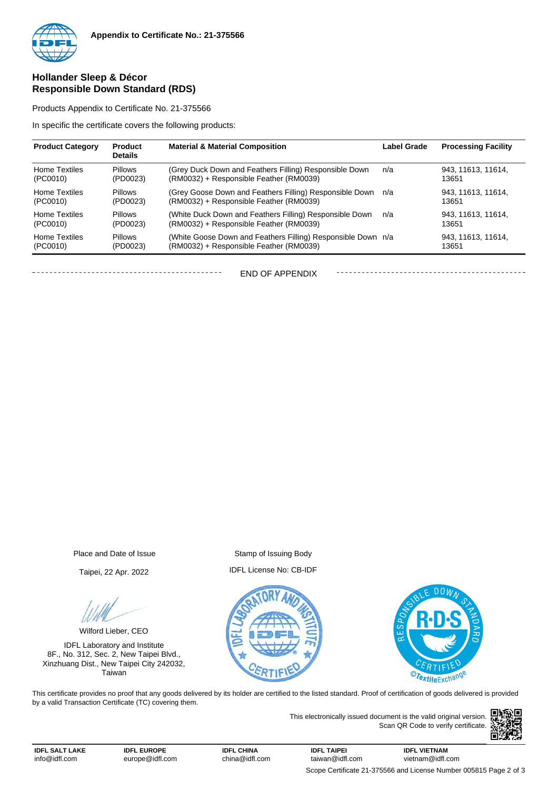

#### **Hollander Sleep & Décor Responsible Down Standard (RDS)**

Products Appendix to Certificate No. 21-375566

In specific the certificate covers the following products:

| <b>Product Category</b> | <b>Product</b><br><b>Details</b> | <b>Material &amp; Material Composition</b>                   | <b>Label Grade</b> | <b>Processing Facility</b> |
|-------------------------|----------------------------------|--------------------------------------------------------------|--------------------|----------------------------|
| <b>Home Textiles</b>    | <b>Pillows</b>                   | (Grey Duck Down and Feathers Filling) Responsible Down       | n/a                | 943, 11613, 11614,         |
| (PC0010)                | (PD0023)                         | (RM0032) + Responsible Feather (RM0039)                      |                    | 13651                      |
| <b>Home Textiles</b>    | <b>Pillows</b>                   | (Grey Goose Down and Feathers Filling) Responsible Down      | n/a                | 943. 11613. 11614.         |
| (PC0010)                | (PD0023)                         | (RM0032) + Responsible Feather (RM0039)                      |                    | 13651                      |
| <b>Home Textiles</b>    | <b>Pillows</b>                   | (White Duck Down and Feathers Filling) Responsible Down      | n/a                | 943, 11613, 11614,         |
| (PC0010)                | (PD0023)                         | (RM0032) + Responsible Feather (RM0039)                      |                    | 13651                      |
| <b>Home Textiles</b>    | <b>Pillows</b>                   | (White Goose Down and Feathers Filling) Responsible Down n/a |                    | 943. 11613. 11614.         |
| (PC0010)                | (PD0023)                         | (RM0032) + Responsible Feather (RM0039)                      |                    | 13651                      |

END OF APPENDIX

Place and Date of Issue Stamp of Issuing Body

Wilford Lieber, CEO

IDFL Laboratory and Institute 8F., No. 312, Sec. 2, New Taipei Blvd., Xinzhuang Dist., New Taipei City 242032, Taiwan

Taipei, 22 Apr. 2022 IDFL License No: CB-IDF





This certificate provides no proof that any goods delivered by its holder are certified to the listed standard. Proof of certification of goods delivered is provided by a valid Transaction Certificate (TC) covering them.

> This electronically issued document is the valid original version. Scan QR Code to verify certificate.